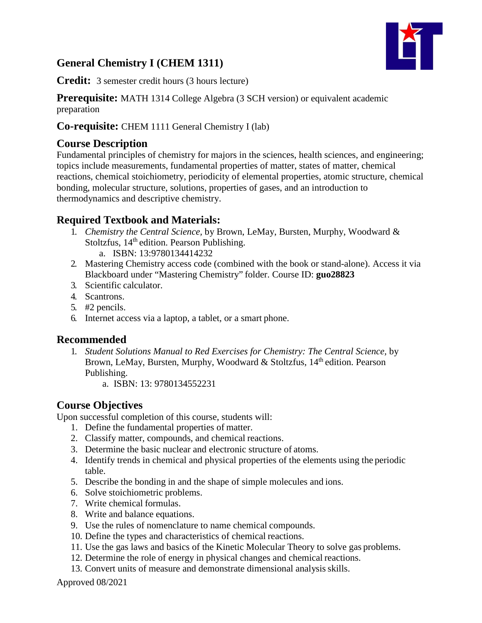# **General Chemistry I (CHEM 1311)**



**Credit:** 3 semester credit hours (3 hours lecture)

### **Prerequisite:** MATH 1314 College Algebra (3 SCH version) or equivalent academic

preparation

## **Co-requisite:** CHEM 1111 General Chemistry I (lab)

## **Course Description**

Fundamental principles of chemistry for majors in the sciences, health sciences, and engineering; topics include measurements, fundamental properties of matter, states of matter, chemical reactions, chemical stoichiometry, periodicity of elemental properties, atomic structure, chemical bonding, molecular structure, solutions, properties of gases, and an introduction to thermodynamics and descriptive chemistry.

# **Required Textbook and Materials:**

- 1. *Chemistry the Central Science,* by Brown, LeMay, Bursten, Murphy, Woodward & Stoltzfus, 14<sup>th</sup> edition. Pearson Publishing.
	- a. ISBN: 13:9780134414232
- 2. Mastering Chemistry access code (combined with the book or stand-alone). Access it via Blackboard under "Mastering Chemistry" folder. Course ID: **guo28823**
- 3. Scientific calculator.
- 4. Scantrons.
- 5. #2 pencils.
- 6. Internet access via a laptop, a tablet, or a smart phone.

## **Recommended**

- 1. *Student Solutions Manual to Red Exercises for Chemistry: The Central Science,* by Brown, LeMay, Bursten, Murphy, Woodward & Stoltzfus, 14<sup>th</sup> edition. Pearson Publishing.
	- a. ISBN: 13: 9780134552231

# **Course Objectives**

Upon successful completion of this course, students will:

- 1. Define the fundamental properties of matter.
- 2. Classify matter, compounds, and chemical reactions.
- 3. Determine the basic nuclear and electronic structure of atoms.
- 4. Identify trends in chemical and physical properties of the elements using the periodic table.
- 5. Describe the bonding in and the shape of simple molecules and ions.
- 6. Solve stoichiometric problems.
- 7. Write chemical formulas.
- 8. Write and balance equations.
- 9. Use the rules of nomenclature to name chemical compounds.
- 10. Define the types and characteristics of chemical reactions.
- 11. Use the gas laws and basics of the Kinetic Molecular Theory to solve gas problems.
- 12. Determine the role of energy in physical changes and chemical reactions.
- 13. Convert units of measure and demonstrate dimensional analysisskills.

Approved 08/2021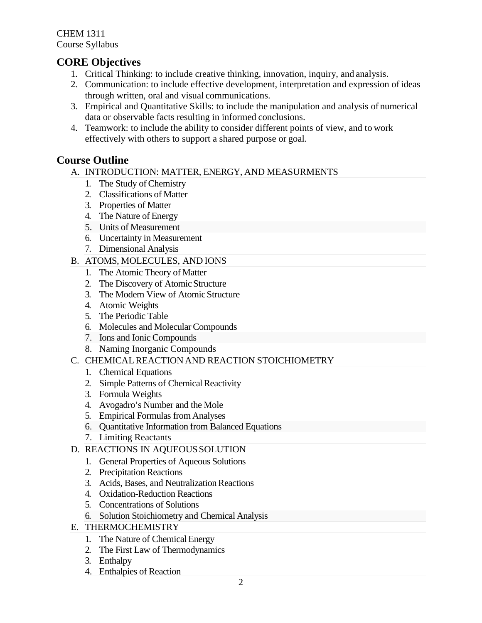CHEM 1311 Course Syllabus

# **CORE Objectives**

- 1. Critical Thinking: to include creative thinking, innovation, inquiry, and analysis.
- 2. Communication: to include effective development, interpretation and expression of ideas through written, oral and visual communications.
- 3. Empirical and Quantitative Skills: to include the manipulation and analysis of numerical data or observable facts resulting in informed conclusions.
- 4. Teamwork: to include the ability to consider different points of view, and to work effectively with others to support a shared purpose or goal.

# **Course Outline**

- A. INTRODUCTION: MATTER, ENERGY, AND MEASURMENTS
	- 1. The Study of Chemistry
	- 2. Classifications of Matter
	- 3. Properties of Matter
	- 4. The Nature of Energy
	- 5. Units of Measurement
	- 6. Uncertainty in Measurement
	- 7. Dimensional Analysis
- B. ATOMS, MOLECULES, AND IONS
	- 1. The Atomic Theory of Matter
	- 2. The Discovery of Atomic Structure
	- 3. The Modern View of Atomic Structure
	- 4. Atomic Weights
	- 5. The Periodic Table
	- 6. Molecules and MolecularCompounds
	- 7. Ions and Ionic Compounds
	- 8. Naming Inorganic Compounds
- C. CHEMICALREACTION AND REACTION STOICHIOMETRY
	- 1. Chemical Equations
	- 2. Simple Patterns of Chemical Reactivity
	- 3. Formula Weights
	- 4. Avogadro's Number and the Mole
	- 5. Empirical Formulas from Analyses
	- 6. Quantitative Information from Balanced Equations
	- 7. Limiting Reactants
- D. REACTIONS IN AQUEOUSSOLUTION
	- 1. General Properties of Aqueous Solutions
	- 2. Precipitation Reactions
	- 3. Acids, Bases, and Neutralization Reactions
	- 4. Oxidation-Reduction Reactions
	- 5. Concentrations of Solutions
	- 6. Solution Stoichiometry and Chemical Analysis
- E. THERMOCHEMISTRY
	- 1. The Nature of Chemical Energy
	- 2. The First Law of Thermodynamics
	- 3. Enthalpy
	- 4. Enthalpies of Reaction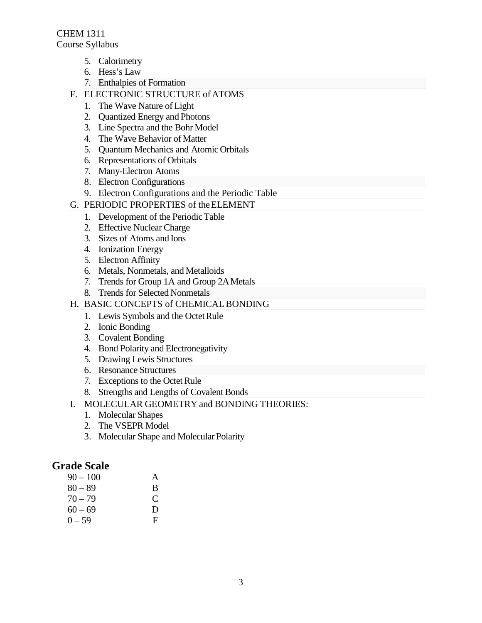CHEM 1311 Course Syllabus

- 5. Calorimetry
- 6. Hess's Law
- 7. Enthalpies of Formation
- F. ELECTRONIC STRUCTURE of ATOMS
	- 1. The Wave Nature of Light
	- 2. Quantized Energy and Photons
	- 3. Line Spectra and the Bohr Model
	- 4. The Wave Behavior of Matter
	- 5. Quantum Mechanics and Atomic Orbitals
	- 6. Representations of Orbitals
	- 7. Many-Electron Atoms
	- 8. Electron Configurations
	- 9. Electron Configurations and the Periodic Table
- G. PERIODIC PROPERTIES of theELEMENT
	- 1. Development of the Periodic Table
	- 2. Effective Nuclear Charge
	- 3. Sizes of Atoms and Ions
	- 4. Ionization Energy
	- 5. Electron Affinity
	- 6. Metals, Nonmetals, and Metalloids
	- 7. Trends for Group 1A and Group 2AMetals
	- 8. Trends for Selected Nonmetals

#### H. BASIC CONCEPTS of CHEMICALBONDING

- 1. Lewis Symbols and the Octet Rule
- 2. Ionic Bonding
- 3. Covalent Bonding
- 4. Bond Polarity and Electronegativity
- 5. Drawing Lewis Structures
- 6. Resonance Structures
- 7. Exceptions to the Octet Rule
- 8. Strengths and Lengths of Covalent Bonds
- I. MOLECULAR GEOMETRY and BONDING THEORIES:
	- 1. Molecular Shapes
	- 2. The VSEPR Model
	- 3. Molecular Shape and Molecular Polarity

## **Grade Scale**

| 90 – 100  | A |
|-----------|---|
| $80 - 89$ | B |
| $70 - 79$ | € |
| $60 - 69$ | D |
| 0 – 59    | F |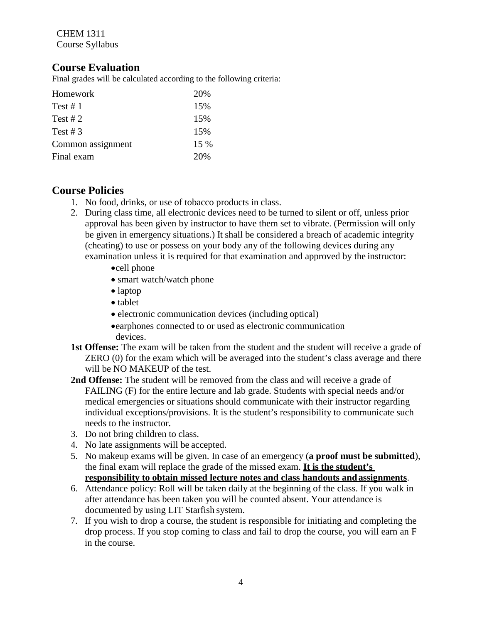CHEM 1311 Course Syllabus

## **Course Evaluation**

Final grades will be calculated according to the following criteria:

| Homework          | 20%  |
|-------------------|------|
| Test # $1$        | 15%  |
| Test # $2$        | 15%  |
| Test # $3$        | 15%  |
| Common assignment | 15 % |
| Final exam        | 20%  |

## **Course Policies**

- 1. No food, drinks, or use of tobacco products in class.
- 2. During class time, all electronic devices need to be turned to silent or off, unless prior approval has been given by instructor to have them set to vibrate. (Permission will only be given in emergency situations.) It shall be considered a breach of academic integrity (cheating) to use or possess on your body any of the following devices during any examination unless it is required for that examination and approved by the instructor:
	- •cell phone
	- smart watch/watch phone
	- laptop
	- tablet
	- electronic communication devices (including optical)
	- •earphones connected to or used as electronic communication devices.
- **1st Offense:** The exam will be taken from the student and the student will receive a grade of ZERO (0) for the exam which will be averaged into the student's class average and there will be NO MAKEUP of the test.
- **2nd Offense:** The student will be removed from the class and will receive a grade of FAILING (F) for the entire lecture and lab grade. Students with special needs and/or medical emergencies or situations should communicate with their instructor regarding individual exceptions/provisions. It is the student's responsibility to communicate such needs to the instructor.
- 3. Do not bring children to class.
- 4. No late assignments will be accepted.
- 5. No makeup exams will be given. In case of an emergency (**a proof must be submitted**), the final exam will replace the grade of the missed exam. **It is the student's responsibility to obtain missed lecture notes and class handouts andassignments**.
- 6. Attendance policy: Roll will be taken daily at the beginning of the class. If you walk in after attendance has been taken you will be counted absent. Your attendance is documented by using LIT Starfish system.
- 7. If you wish to drop a course, the student is responsible for initiating and completing the drop process. If you stop coming to class and fail to drop the course, you will earn an F in the course.